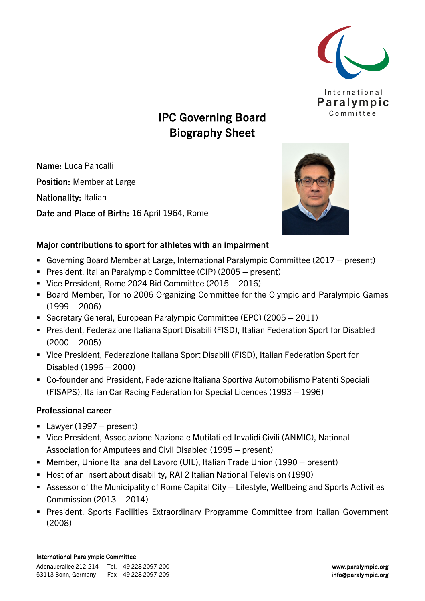

# IPC Governing Board Biography Sheet

Name: Luca Pancalli Position: Member at Large Nationality: Italian

Date and Place of Birth: 16 April 1964, Rome



## Major contributions to sport for athletes with an impairment

- Governing Board Member at Large, International Paralympic Committee (2017 present)
- President, Italian Paralympic Committee (CIP) (2005 present)
- Vice President, Rome 2024 Bid Committee (2015 2016)
- **Board Member, Torino 2006 Organizing Committee for the Olympic and Paralympic Games**  $(1999 - 2006)$
- Secretary General, European Paralympic Committee (EPC) (2005 2011)
- President, Federazione Italiana Sport Disabili (FISD), Italian Federation Sport for Disabled  $(2000 - 2005)$
- Vice President, Federazione Italiana Sport Disabili (FISD), Italian Federation Sport for Disabled (1996 – 2000)
- Co-founder and President, Federazione Italiana Sportiva Automobilismo Patenti Speciali (FISAPS), Italian Car Racing Federation for Special Licences (1993 – 1996)

### Professional career

- Lawyer  $(1997 \text{present})$
- Vice President, Associazione Nazionale Mutilati ed Invalidi Civili (ANMIC), National Association for Amputees and Civil Disabled (1995 – present)
- Member, Unione Italiana del Lavoro (UIL), Italian Trade Union (1990 present)
- Host of an insert about disability, RAI 2 Italian National Television (1990)
- Assessor of the Municipality of Rome Capital City Lifestyle, Wellbeing and Sports Activities Commission (2013 – 2014)
- **President, Sports Facilities Extraordinary Programme Committee from Italian Government** (2008)